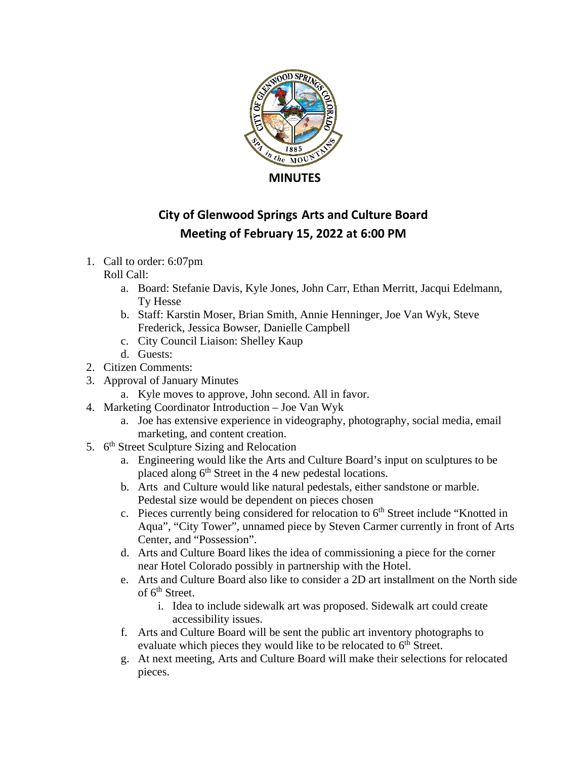

## **City of Glenwood Springs Arts and Culture Board Meeting of February 15, 2022 at 6:00 PM**

1. Call to order: 6:07pm

## Roll Call:

- a. Board: Stefanie Davis, Kyle Jones, John Carr, Ethan Merritt, Jacqui Edelmann, Ty Hesse
- b. Staff: Karstin Moser, Brian Smith, Annie Henninger, Joe Van Wyk, Steve Frederick, Jessica Bowser, Danielle Campbell
- c. City Council Liaison: Shelley Kaup
- d. Guests:
- 2. Citizen Comments:
- 3. Approval of January Minutes
- a. Kyle moves to approve, John second. All in favor.
- 4. Marketing Coordinator Introduction Joe Van Wyk
	- a. Joe has extensive experience in videography, photography, social media, email marketing, and content creation.
- 5. 6<sup>th</sup> Street Sculpture Sizing and Relocation
	- a. Engineering would like the Arts and Culture Board's input on sculptures to be placed along  $6<sup>th</sup>$  Street in the 4 new pedestal locations.
	- b. Arts and Culture would like natural pedestals, either sandstone or marble. Pedestal size would be dependent on pieces chosen
	- c. Pieces currently being considered for relocation to  $6<sup>th</sup>$  Street include "Knotted in Aqua", "City Tower", unnamed piece by Steven Carmer currently in front of Arts Center, and "Possession".
	- d. Arts and Culture Board likes the idea of commissioning a piece for the corner near Hotel Colorado possibly in partnership with the Hotel.
	- e. Arts and Culture Board also like to consider a 2D art installment on the North side of  $6<sup>th</sup>$  Street.
		- i. Idea to include sidewalk art was proposed. Sidewalk art could create accessibility issues.
	- f. Arts and Culture Board will be sent the public art inventory photographs to evaluate which pieces they would like to be relocated to  $6<sup>th</sup>$  Street.
	- g. At next meeting, Arts and Culture Board will make their selections for relocated pieces.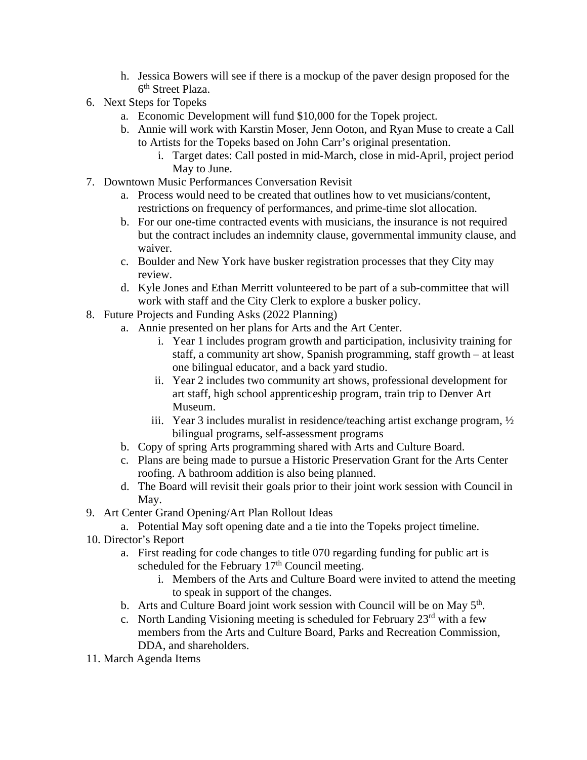- h. Jessica Bowers will see if there is a mockup of the paver design proposed for the 6th Street Plaza.
- 6. Next Steps for Topeks
	- a. Economic Development will fund \$10,000 for the Topek project.
	- b. Annie will work with Karstin Moser, Jenn Ooton, and Ryan Muse to create a Call to Artists for the Topeks based on John Carr's original presentation.
		- i. Target dates: Call posted in mid-March, close in mid-April, project period May to June.
- 7. Downtown Music Performances Conversation Revisit
	- a. Process would need to be created that outlines how to vet musicians/content, restrictions on frequency of performances, and prime-time slot allocation.
	- b. For our one-time contracted events with musicians, the insurance is not required but the contract includes an indemnity clause, governmental immunity clause, and waiver.
	- c. Boulder and New York have busker registration processes that they City may review.
	- d. Kyle Jones and Ethan Merritt volunteered to be part of a sub-committee that will work with staff and the City Clerk to explore a busker policy.
- 8. Future Projects and Funding Asks (2022 Planning)
	- a. Annie presented on her plans for Arts and the Art Center.
		- i. Year 1 includes program growth and participation, inclusivity training for staff, a community art show, Spanish programming, staff growth – at least one bilingual educator, and a back yard studio.
		- ii. Year 2 includes two community art shows, professional development for art staff, high school apprenticeship program, train trip to Denver Art Museum.
		- iii. Year 3 includes muralist in residence/teaching artist exchange program, ½ bilingual programs, self-assessment programs
	- b. Copy of spring Arts programming shared with Arts and Culture Board.
	- c. Plans are being made to pursue a Historic Preservation Grant for the Arts Center roofing. A bathroom addition is also being planned.
	- d. The Board will revisit their goals prior to their joint work session with Council in May.
- 9. Art Center Grand Opening/Art Plan Rollout Ideas
	- a. Potential May soft opening date and a tie into the Topeks project timeline.
- 10. Director's Report
	- a. First reading for code changes to title 070 regarding funding for public art is scheduled for the February 17<sup>th</sup> Council meeting.
		- i. Members of the Arts and Culture Board were invited to attend the meeting to speak in support of the changes.
	- b. Arts and Culture Board joint work session with Council will be on May  $5<sup>th</sup>$ .
	- c. North Landing Visioning meeting is scheduled for February  $23<sup>rd</sup>$  with a few members from the Arts and Culture Board, Parks and Recreation Commission, DDA, and shareholders.
- 11. March Agenda Items